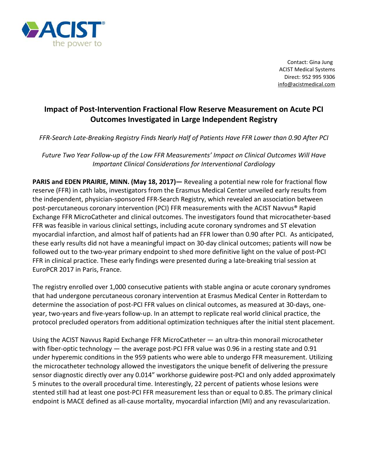

 Contact: Gina Jung ACIST Medical Systems Direct: 952 995 9306 [info@acistmedical.com](mailto:info@acistmedical.com)

## **Impact of Post-Intervention Fractional Flow Reserve Measurement on Acute PCI Outcomes Investigated in Large Independent Registry**

*FFR-Search Late-Breaking Registry Finds Nearly Half of Patients Have FFR Lower than 0.90 After PCI* 

*Future Two Year Follow-up of the Low FFR Measurements' Impact on Clinical Outcomes Will Have Important Clinical Considerations for Interventional Cardiology*

**PARIS and EDEN PRAIRIE, MINN. (May 18, 2017)—** Revealing a potential new role for fractional flow reserve (FFR) in cath labs, investigators from the Erasmus Medical Center unveiled early results from the independent, physician-sponsored FFR-Search Registry, which revealed an association between post-percutaneous coronary intervention (PCI) FFR measurements with the ACIST Navvus® Rapid Exchange FFR MicroCatheter and clinical outcomes. The investigators found that microcatheter-based FFR was feasible in various clinical settings, including acute coronary syndromes and ST elevation myocardial infarction, and almost half of patients had an FFR lower than 0.90 after PCI. As anticipated, these early results did not have a meaningful impact on 30-day clinical outcomes; patients will now be followed out to the two-year primary endpoint to shed more definitive light on the value of post-PCI FFR in clinical practice. These early findings were presented during a late-breaking trial session at EuroPCR 2017 in Paris, France.

The registry enrolled over 1,000 consecutive patients with stable angina or acute coronary syndromes that had undergone percutaneous coronary intervention at Erasmus Medical Center in Rotterdam to determine the association of post-PCI FFR values on clinical outcomes, as measured at 30-days, oneyear, two-years and five-years follow-up. In an attempt to replicate real world clinical practice, the protocol precluded operators from additional optimization techniques after the initial stent placement.

Using the ACIST Navvus Rapid Exchange FFR MicroCatheter — an ultra-thin monorail microcatheter with fiber-optic technology — the average post-PCI FFR value was 0.96 in a resting state and 0.91 under hyperemic conditions in the 959 patients who were able to undergo FFR measurement. Utilizing the microcatheter technology allowed the investigators the unique benefit of delivering the pressure sensor diagnostic directly over any 0.014" workhorse guidewire post-PCI and only added approximately 5 minutes to the overall procedural time. Interestingly, 22 percent of patients whose lesions were stented still had at least one post-PCI FFR measurement less than or equal to 0.85. The primary clinical endpoint is MACE defined as all-cause mortality, myocardial infarction (MI) and any revascularization.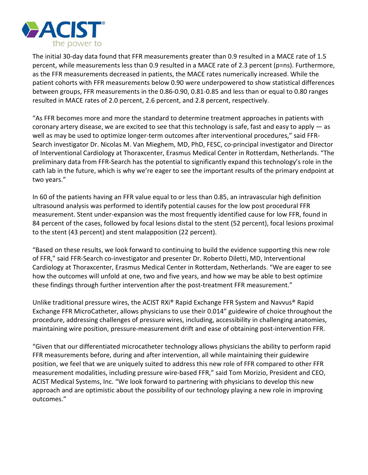

The initial 30-day data found that FFR measurements greater than 0.9 resulted in a MACE rate of 1.5 percent, while measurements less than 0.9 resulted in a MACE rate of 2.3 percent (p=ns). Furthermore, as the FFR measurements decreased in patients, the MACE rates numerically increased. While the patient cohorts with FFR measurements below 0.90 were underpowered to show statistical differences between groups, FFR measurements in the 0.86-0.90, 0.81-0.85 and less than or equal to 0.80 ranges resulted in MACE rates of 2.0 percent, 2.6 percent, and 2.8 percent, respectively.

"As FFR becomes more and more the standard to determine treatment approaches in patients with coronary artery disease, we are excited to see that this technology is safe, fast and easy to apply  $-$  as well as may be used to optimize longer-term outcomes after interventional procedures," said FFR-Search investigator Dr. Nicolas M. Van Mieghem, MD, PhD, FESC, co-principal investigator and Director of Interventional Cardiology at Thoraxcenter, Erasmus Medical Center in Rotterdam, Netherlands. "The preliminary data from FFR-Search has the potential to significantly expand this technology's role in the cath lab in the future, which is why we're eager to see the important results of the primary endpoint at two years."

In 60 of the patients having an FFR value equal to or less than 0.85, an intravascular high definition ultrasound analysis was performed to identify potential causes for the low post procedural FFR measurement. Stent under-expansion was the most frequently identified cause for low FFR, found in 84 percent of the cases, followed by focal lesions distal to the stent (52 percent), focal lesions proximal to the stent (43 percent) and stent malapposition (22 percent).

"Based on these results, we look forward to continuing to build the evidence supporting this new role of FFR," said FFR-Search co-investigator and presenter Dr. Roberto Diletti, MD, Interventional Cardiology at Thoraxcenter, Erasmus Medical Center in Rotterdam, Netherlands. "We are eager to see how the outcomes will unfold at one, two and five years, and how we may be able to best optimize these findings through further intervention after the post-treatment FFR measurement."

Unlike traditional pressure wires, the ACIST RXi® Rapid Exchange FFR System and Navvus® Rapid Exchange FFR MicroCatheter, allows physicians to use their 0.014" guidewire of choice throughout the procedure, addressing challenges of pressure wires, including, accessibility in challenging anatomies, maintaining wire position, pressure-measurement drift and ease of obtaining post-intervention FFR.

"Given that our differentiated microcatheter technology allows physicians the ability to perform rapid FFR measurements before, during and after intervention, all while maintaining their guidewire position, we feel that we are uniquely suited to address this new role of FFR compared to other FFR measurement modalities, including pressure wire-based FFR," said Tom Morizio, President and CEO, ACIST Medical Systems, Inc. "We look forward to partnering with physicians to develop this new approach and are optimistic about the possibility of our technology playing a new role in improving outcomes."